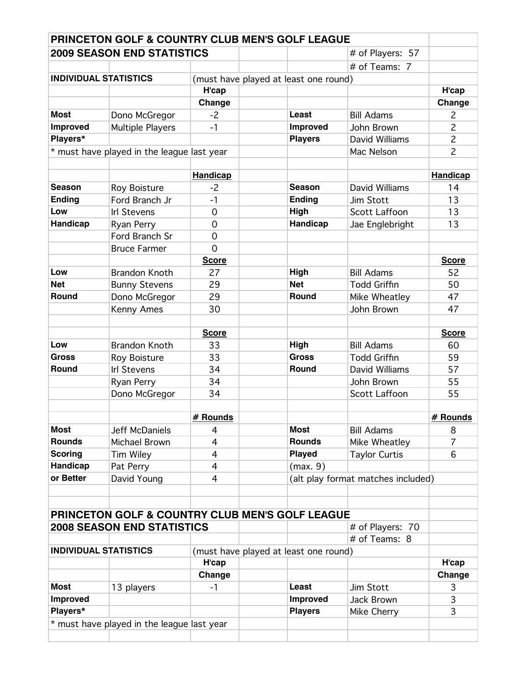|                              | <b>PRINCETON GOLF &amp; COUNTRY CLUB MEN'S GOLF LEAGUE</b> |                 |                                       |                                    |                 |
|------------------------------|------------------------------------------------------------|-----------------|---------------------------------------|------------------------------------|-----------------|
|                              | <b>2009 SEASON END STATISTICS</b>                          |                 |                                       | # of Players: 57                   |                 |
|                              |                                                            |                 |                                       | # of Teams: 7                      |                 |
| <b>INDIVIDUAL STATISTICS</b> |                                                            |                 | (must have played at least one round) |                                    |                 |
|                              |                                                            | H'cap           |                                       |                                    | H'cap           |
|                              |                                                            | Change          |                                       |                                    | Change          |
| <b>Most</b>                  | Dono McGregor                                              | $-2$            | Least                                 | <b>Bill Adams</b>                  | 2               |
| Improved                     | Multiple Players                                           | $-1$            | Improved                              | John Brown                         | $\overline{c}$  |
| Players*                     |                                                            |                 | <b>Players</b>                        | David Williams                     | $\overline{c}$  |
|                              | * must have played in the league last year                 |                 |                                       | Mac Nelson                         | $\overline{c}$  |
|                              |                                                            |                 |                                       |                                    |                 |
|                              |                                                            | <b>Handicap</b> |                                       |                                    | <b>Handicap</b> |
| <b>Season</b>                | Roy Boisture                                               | $-2$            | <b>Season</b>                         | David Williams                     | 14              |
| <b>Ending</b>                | Ford Branch Jr                                             | $-1$            | <b>Ending</b>                         | Jim Stott                          | 13              |
| Low                          | <b>Irl Stevens</b>                                         | $\overline{0}$  | High                                  | <b>Scott Laffoon</b>               | 13              |
| Handicap                     | Ryan Perry                                                 | $\overline{0}$  | Handicap                              | Jae Englebright                    | 13              |
|                              | Ford Branch Sr                                             | $\overline{0}$  |                                       |                                    |                 |
|                              | <b>Bruce Farmer</b>                                        | $\overline{0}$  |                                       |                                    |                 |
|                              |                                                            | <b>Score</b>    |                                       |                                    | <b>Score</b>    |
| Low                          | <b>Brandon Knoth</b>                                       | 27              | High                                  | <b>Bill Adams</b>                  | 52              |
| <b>Net</b>                   | <b>Bunny Stevens</b>                                       | 29              | <b>Net</b>                            | <b>Todd Griffin</b>                | 50              |
| Round                        | Dono McGregor                                              | 29              | Round                                 | Mike Wheatley                      | 47              |
|                              | Kenny Ames                                                 | 30              |                                       | John Brown                         | 47              |
|                              |                                                            |                 |                                       |                                    |                 |
|                              |                                                            | <b>Score</b>    |                                       |                                    | <b>Score</b>    |
| Low                          | <b>Brandon Knoth</b>                                       | 33              | High                                  | <b>Bill Adams</b>                  | 60              |
| <b>Gross</b>                 | Roy Boisture                                               | 33              | <b>Gross</b>                          | <b>Todd Griffin</b>                | 59              |
| Round                        | <b>Irl Stevens</b>                                         | 34              | Round                                 | David Williams                     | 57              |
|                              | Ryan Perry                                                 | 34              |                                       | John Brown                         | 55              |
|                              | Dono McGregor                                              | 34              |                                       | Scott Laffoon                      | 55              |
|                              |                                                            |                 |                                       |                                    |                 |
|                              |                                                            | # Rounds        |                                       |                                    | # Rounds        |
| <b>Most</b>                  | Jeff McDaniels                                             | 4               | <b>Most</b>                           | <b>Bill Adams</b>                  | 8               |
| <b>Rounds</b>                | Michael Brown                                              | $\overline{4}$  | <b>Rounds</b>                         | Mike Wheatley                      | $\overline{7}$  |
| <b>Scoring</b>               | Tim Wiley                                                  | $\overline{4}$  | <b>Played</b>                         | <b>Taylor Curtis</b>               | 6               |
| Handicap                     | Pat Perry                                                  | $\overline{4}$  | (max. 9)                              |                                    |                 |
| or Better                    | David Young                                                | $\overline{4}$  |                                       | (alt play format matches included) |                 |
|                              |                                                            |                 |                                       |                                    |                 |
|                              |                                                            |                 |                                       |                                    |                 |
|                              | <b>PRINCETON GOLF &amp; COUNTRY CLUB MEN'S GOLF LEAGUE</b> |                 |                                       |                                    |                 |
|                              | <b>2008 SEASON END STATISTICS</b>                          |                 |                                       | # of Players: 70                   |                 |
|                              |                                                            |                 |                                       | # of Teams: 8                      |                 |
| <b>INDIVIDUAL STATISTICS</b> |                                                            |                 | (must have played at least one round) |                                    |                 |
|                              |                                                            | H'cap           |                                       |                                    | H'cap           |
|                              |                                                            | Change          |                                       |                                    | Change          |
| <b>Most</b>                  | 13 players                                                 | $-1$            | Least                                 | Jim Stott                          | 3               |
| Improved                     |                                                            |                 | Improved                              | Jack Brown                         | 3               |
| Players*                     |                                                            |                 | <b>Players</b>                        | Mike Cherry                        | 3               |
|                              | * must have played in the league last year                 |                 |                                       |                                    |                 |
|                              |                                                            |                 |                                       |                                    |                 |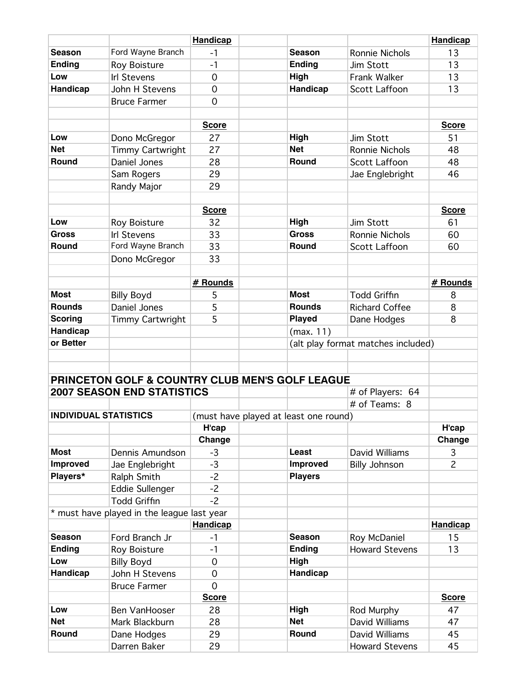|                              |                                                            | <b>Handicap</b> |                                       |                                    | <b>Handicap</b> |
|------------------------------|------------------------------------------------------------|-----------------|---------------------------------------|------------------------------------|-----------------|
| <b>Season</b>                | Ford Wayne Branch                                          | $-1$            | <b>Season</b>                         | Ronnie Nichols                     | 13              |
| <b>Ending</b>                | Roy Boisture                                               | $-1$            | <b>Ending</b>                         | Jim Stott                          | 13              |
| Low                          | <b>Irl Stevens</b>                                         | $\overline{0}$  | High                                  | Frank Walker                       | 13              |
| Handicap                     | John H Stevens                                             | $\mathbf 0$     | Handicap                              | Scott Laffoon                      | 13              |
|                              | <b>Bruce Farmer</b>                                        | $\overline{0}$  |                                       |                                    |                 |
|                              |                                                            |                 |                                       |                                    |                 |
|                              |                                                            | <b>Score</b>    |                                       |                                    | <b>Score</b>    |
| Low                          | Dono McGregor                                              | 27              | High                                  | Jim Stott                          | 51              |
| <b>Net</b>                   | Timmy Cartwright                                           | 27              | <b>Net</b>                            | <b>Ronnie Nichols</b>              | 48              |
| Round                        | Daniel Jones                                               | 28              | Round                                 | <b>Scott Laffoon</b>               | 48              |
|                              | Sam Rogers                                                 | 29              |                                       | Jae Englebright                    | 46              |
|                              | Randy Major                                                | 29              |                                       |                                    |                 |
|                              |                                                            |                 |                                       |                                    |                 |
|                              |                                                            | <b>Score</b>    |                                       |                                    | <b>Score</b>    |
| Low                          | Roy Boisture                                               | 32              | High                                  | Jim Stott                          | 61              |
| <b>Gross</b>                 | <b>Irl Stevens</b>                                         | 33              | <b>Gross</b>                          | Ronnie Nichols                     | 60              |
| Round                        | Ford Wayne Branch                                          | 33              | Round                                 | <b>Scott Laffoon</b>               | 60              |
|                              | Dono McGregor                                              | 33              |                                       |                                    |                 |
|                              |                                                            |                 |                                       |                                    |                 |
|                              |                                                            | # Rounds        |                                       |                                    | # Rounds        |
| <b>Most</b>                  | <b>Billy Boyd</b>                                          | 5               | <b>Most</b>                           | <b>Todd Griffin</b>                | 8               |
| <b>Rounds</b>                | Daniel Jones                                               | 5               | <b>Rounds</b>                         | <b>Richard Coffee</b>              | 8               |
| <b>Scoring</b>               | <b>Timmy Cartwright</b>                                    | 5               | <b>Played</b>                         | Dane Hodges                        | 8               |
| Handicap                     |                                                            |                 | (max. 11)                             |                                    |                 |
| or Better                    |                                                            |                 |                                       | (alt play format matches included) |                 |
|                              |                                                            |                 |                                       |                                    |                 |
|                              |                                                            |                 |                                       |                                    |                 |
|                              | <b>PRINCETON GOLF &amp; COUNTRY CLUB MEN'S GOLF LEAGUE</b> |                 |                                       |                                    |                 |
|                              | <b>2007 SEASON END STATISTICS</b>                          |                 |                                       | # of Players: 64                   |                 |
|                              |                                                            |                 |                                       | # of Teams: 8                      |                 |
| <b>INDIVIDUAL STATISTICS</b> |                                                            |                 | (must have played at least one round) |                                    |                 |
|                              |                                                            | H'cap           |                                       |                                    | H'cap           |
|                              |                                                            | Change          |                                       |                                    | Change          |
| <b>Most</b>                  | Dennis Amundson                                            | $-3$            | Least                                 | David Williams                     | 3               |
| <b>Improved</b>              | Jae Englebright                                            | $-3$            | Improved                              | <b>Billy Johnson</b>               | $\overline{c}$  |
| Players*                     | Ralph Smith                                                | $-2$            | <b>Players</b>                        |                                    |                 |
|                              | Eddie Sullenger                                            | $-2$            |                                       |                                    |                 |
|                              | <b>Todd Griffin</b>                                        | $-2$            |                                       |                                    |                 |
|                              | * must have played in the league last year                 |                 |                                       |                                    |                 |
|                              |                                                            | <b>Handicap</b> |                                       |                                    | <b>Handicap</b> |
| <b>Season</b>                | Ford Branch Jr                                             | $-1$            | <b>Season</b>                         | Roy McDaniel                       | 15              |
| <b>Ending</b>                | <b>Roy Boisture</b>                                        | $-1$            | <b>Ending</b>                         | <b>Howard Stevens</b>              | 13              |
| Low                          | <b>Billy Boyd</b>                                          | 0               | High                                  |                                    |                 |
| Handicap                     | John H Stevens                                             | $\overline{0}$  | Handicap                              |                                    |                 |
|                              | <b>Bruce Farmer</b>                                        | $\overline{O}$  |                                       |                                    |                 |
|                              |                                                            | <b>Score</b>    |                                       |                                    | <b>Score</b>    |
| Low                          | <b>Ben VanHooser</b>                                       | 28              | High                                  | Rod Murphy                         | 47              |
| <b>Net</b>                   | Mark Blackburn                                             | 28              | <b>Net</b>                            | David Williams                     | 47              |
| Round                        | Dane Hodges                                                | 29              | Round                                 | David Williams                     | 45              |
|                              | Darren Baker                                               | 29              |                                       | <b>Howard Stevens</b>              | 45              |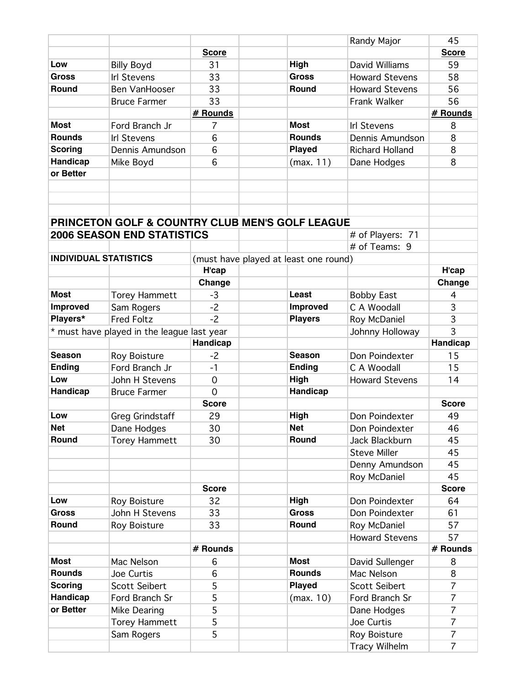| <b>Score</b><br><b>Score</b><br>High<br>Low<br><b>Billy Boyd</b><br>David Williams<br>59<br>31<br>33<br>58<br><b>Gross</b><br><b>Gross</b><br><b>Howard Stevens</b><br><b>Irl Stevens</b><br>33<br>Round<br>Ben VanHooser<br>Round<br><b>Howard Stevens</b><br>56<br>33<br>56<br><b>Bruce Farmer</b><br><b>Frank Walker</b><br># Rounds<br># Rounds<br><b>Most</b><br><b>Most</b><br>Ford Branch Jr<br>7<br><b>Irl Stevens</b><br>8<br><b>Rounds</b><br><b>Rounds</b><br>6<br>8<br><b>Irl Stevens</b><br>Dennis Amundson<br>6<br><b>Played</b><br>8<br><b>Scoring</b><br>Dennis Amundson<br><b>Richard Holland</b><br>Handicap<br>6<br>Mike Boyd<br>(max. 11)<br>Dane Hodges<br>8<br>or Better<br><b>PRINCETON GOLF &amp; COUNTRY CLUB MEN'S GOLF LEAGUE</b><br><b>2006 SEASON END STATISTICS</b><br># of Players: 71<br># of Teams: 9<br><b>INDIVIDUAL STATISTICS</b><br>(must have played at least one round)<br>H'cap<br>H'cap<br>Change<br>Change<br><b>Most</b><br>$-3$<br>Least<br><b>Torey Hammett</b><br><b>Bobby East</b><br>4<br>C A Woodall<br><b>Improved</b><br>$-2$<br><b>Improved</b><br>3<br>Sam Rogers<br>$-2$<br>Players*<br>3<br><b>Fred Foltz</b><br><b>Players</b><br>Roy McDaniel<br>3<br>* must have played in the league last year<br>Johnny Holloway<br>Handicap<br>Handicap<br><b>Season</b><br><b>Season</b><br>Roy Boisture<br>$-2$<br>Don Poindexter<br>15<br>Ford Branch Jr<br><b>Ending</b><br><b>Ending</b><br>C A Woodall<br>15<br>$-1$<br>High<br>Low<br><b>Howard Stevens</b><br>John H Stevens<br>$\mathbf 0$<br>14<br>Handicap<br>$\Omega$<br>Handicap<br><b>Bruce Farmer</b><br><b>Score</b><br><b>Score</b><br>29<br>High<br>49<br>Low<br><b>Greg Grindstaff</b><br>Don Poindexter<br><b>Net</b><br><b>Net</b><br>46<br>30<br>Don Poindexter<br>Dane Hodges<br>Round<br>Round<br>45<br><b>Torey Hammett</b><br>30<br>Jack Blackburn<br><b>Steve Miller</b><br>45<br>Denny Amundson<br>45<br>45<br>Roy McDaniel<br><b>Score</b><br><b>Score</b><br>High<br>Low<br>Don Poindexter<br>64<br>Roy Boisture<br>32<br><b>Gross</b><br>John H Stevens<br>33<br><b>Gross</b><br>Don Poindexter<br>61<br>Round<br>57<br>Round<br>33<br>Roy McDaniel<br>Roy Boisture<br><b>Howard Stevens</b><br>57<br># Rounds<br># Rounds<br><b>Most</b><br><b>Most</b><br>Mac Nelson<br>6<br>David Sullenger<br>8<br><b>Rounds</b><br><b>Rounds</b><br>Mac Nelson<br>8<br>Joe Curtis<br>6<br>$\overline{7}$<br>5<br><b>Played</b><br><b>Scoring</b><br><b>Scott Seibert</b><br><b>Scott Seibert</b><br>$\overline{7}$<br>Handicap<br>5<br>Ford Branch Sr<br>Ford Branch Sr<br>(max. 10)<br>or Better<br>5<br>$\overline{7}$<br>Mike Dearing<br>Dane Hodges<br>5<br>$\overline{7}$<br><b>Torey Hammett</b><br>Joe Curtis<br>5<br>$\overline{7}$<br>Sam Rogers<br>Roy Boisture<br>$\overline{7}$<br><b>Tracy Wilhelm</b> |  |  | Randy Major | 45 |
|---------------------------------------------------------------------------------------------------------------------------------------------------------------------------------------------------------------------------------------------------------------------------------------------------------------------------------------------------------------------------------------------------------------------------------------------------------------------------------------------------------------------------------------------------------------------------------------------------------------------------------------------------------------------------------------------------------------------------------------------------------------------------------------------------------------------------------------------------------------------------------------------------------------------------------------------------------------------------------------------------------------------------------------------------------------------------------------------------------------------------------------------------------------------------------------------------------------------------------------------------------------------------------------------------------------------------------------------------------------------------------------------------------------------------------------------------------------------------------------------------------------------------------------------------------------------------------------------------------------------------------------------------------------------------------------------------------------------------------------------------------------------------------------------------------------------------------------------------------------------------------------------------------------------------------------------------------------------------------------------------------------------------------------------------------------------------------------------------------------------------------------------------------------------------------------------------------------------------------------------------------------------------------------------------------------------------------------------------------------------------------------------------------------------------------------------------------------------------------------------------------------------------------------------------------------------------------------------------------------------------------------------------------------------------------------------------------------------------------------------------------------------------------------------------------------------------------------|--|--|-------------|----|
|                                                                                                                                                                                                                                                                                                                                                                                                                                                                                                                                                                                                                                                                                                                                                                                                                                                                                                                                                                                                                                                                                                                                                                                                                                                                                                                                                                                                                                                                                                                                                                                                                                                                                                                                                                                                                                                                                                                                                                                                                                                                                                                                                                                                                                                                                                                                                                                                                                                                                                                                                                                                                                                                                                                                                                                                                                       |  |  |             |    |
|                                                                                                                                                                                                                                                                                                                                                                                                                                                                                                                                                                                                                                                                                                                                                                                                                                                                                                                                                                                                                                                                                                                                                                                                                                                                                                                                                                                                                                                                                                                                                                                                                                                                                                                                                                                                                                                                                                                                                                                                                                                                                                                                                                                                                                                                                                                                                                                                                                                                                                                                                                                                                                                                                                                                                                                                                                       |  |  |             |    |
|                                                                                                                                                                                                                                                                                                                                                                                                                                                                                                                                                                                                                                                                                                                                                                                                                                                                                                                                                                                                                                                                                                                                                                                                                                                                                                                                                                                                                                                                                                                                                                                                                                                                                                                                                                                                                                                                                                                                                                                                                                                                                                                                                                                                                                                                                                                                                                                                                                                                                                                                                                                                                                                                                                                                                                                                                                       |  |  |             |    |
|                                                                                                                                                                                                                                                                                                                                                                                                                                                                                                                                                                                                                                                                                                                                                                                                                                                                                                                                                                                                                                                                                                                                                                                                                                                                                                                                                                                                                                                                                                                                                                                                                                                                                                                                                                                                                                                                                                                                                                                                                                                                                                                                                                                                                                                                                                                                                                                                                                                                                                                                                                                                                                                                                                                                                                                                                                       |  |  |             |    |
|                                                                                                                                                                                                                                                                                                                                                                                                                                                                                                                                                                                                                                                                                                                                                                                                                                                                                                                                                                                                                                                                                                                                                                                                                                                                                                                                                                                                                                                                                                                                                                                                                                                                                                                                                                                                                                                                                                                                                                                                                                                                                                                                                                                                                                                                                                                                                                                                                                                                                                                                                                                                                                                                                                                                                                                                                                       |  |  |             |    |
|                                                                                                                                                                                                                                                                                                                                                                                                                                                                                                                                                                                                                                                                                                                                                                                                                                                                                                                                                                                                                                                                                                                                                                                                                                                                                                                                                                                                                                                                                                                                                                                                                                                                                                                                                                                                                                                                                                                                                                                                                                                                                                                                                                                                                                                                                                                                                                                                                                                                                                                                                                                                                                                                                                                                                                                                                                       |  |  |             |    |
|                                                                                                                                                                                                                                                                                                                                                                                                                                                                                                                                                                                                                                                                                                                                                                                                                                                                                                                                                                                                                                                                                                                                                                                                                                                                                                                                                                                                                                                                                                                                                                                                                                                                                                                                                                                                                                                                                                                                                                                                                                                                                                                                                                                                                                                                                                                                                                                                                                                                                                                                                                                                                                                                                                                                                                                                                                       |  |  |             |    |
|                                                                                                                                                                                                                                                                                                                                                                                                                                                                                                                                                                                                                                                                                                                                                                                                                                                                                                                                                                                                                                                                                                                                                                                                                                                                                                                                                                                                                                                                                                                                                                                                                                                                                                                                                                                                                                                                                                                                                                                                                                                                                                                                                                                                                                                                                                                                                                                                                                                                                                                                                                                                                                                                                                                                                                                                                                       |  |  |             |    |
|                                                                                                                                                                                                                                                                                                                                                                                                                                                                                                                                                                                                                                                                                                                                                                                                                                                                                                                                                                                                                                                                                                                                                                                                                                                                                                                                                                                                                                                                                                                                                                                                                                                                                                                                                                                                                                                                                                                                                                                                                                                                                                                                                                                                                                                                                                                                                                                                                                                                                                                                                                                                                                                                                                                                                                                                                                       |  |  |             |    |
|                                                                                                                                                                                                                                                                                                                                                                                                                                                                                                                                                                                                                                                                                                                                                                                                                                                                                                                                                                                                                                                                                                                                                                                                                                                                                                                                                                                                                                                                                                                                                                                                                                                                                                                                                                                                                                                                                                                                                                                                                                                                                                                                                                                                                                                                                                                                                                                                                                                                                                                                                                                                                                                                                                                                                                                                                                       |  |  |             |    |
|                                                                                                                                                                                                                                                                                                                                                                                                                                                                                                                                                                                                                                                                                                                                                                                                                                                                                                                                                                                                                                                                                                                                                                                                                                                                                                                                                                                                                                                                                                                                                                                                                                                                                                                                                                                                                                                                                                                                                                                                                                                                                                                                                                                                                                                                                                                                                                                                                                                                                                                                                                                                                                                                                                                                                                                                                                       |  |  |             |    |
|                                                                                                                                                                                                                                                                                                                                                                                                                                                                                                                                                                                                                                                                                                                                                                                                                                                                                                                                                                                                                                                                                                                                                                                                                                                                                                                                                                                                                                                                                                                                                                                                                                                                                                                                                                                                                                                                                                                                                                                                                                                                                                                                                                                                                                                                                                                                                                                                                                                                                                                                                                                                                                                                                                                                                                                                                                       |  |  |             |    |
|                                                                                                                                                                                                                                                                                                                                                                                                                                                                                                                                                                                                                                                                                                                                                                                                                                                                                                                                                                                                                                                                                                                                                                                                                                                                                                                                                                                                                                                                                                                                                                                                                                                                                                                                                                                                                                                                                                                                                                                                                                                                                                                                                                                                                                                                                                                                                                                                                                                                                                                                                                                                                                                                                                                                                                                                                                       |  |  |             |    |
|                                                                                                                                                                                                                                                                                                                                                                                                                                                                                                                                                                                                                                                                                                                                                                                                                                                                                                                                                                                                                                                                                                                                                                                                                                                                                                                                                                                                                                                                                                                                                                                                                                                                                                                                                                                                                                                                                                                                                                                                                                                                                                                                                                                                                                                                                                                                                                                                                                                                                                                                                                                                                                                                                                                                                                                                                                       |  |  |             |    |
|                                                                                                                                                                                                                                                                                                                                                                                                                                                                                                                                                                                                                                                                                                                                                                                                                                                                                                                                                                                                                                                                                                                                                                                                                                                                                                                                                                                                                                                                                                                                                                                                                                                                                                                                                                                                                                                                                                                                                                                                                                                                                                                                                                                                                                                                                                                                                                                                                                                                                                                                                                                                                                                                                                                                                                                                                                       |  |  |             |    |
|                                                                                                                                                                                                                                                                                                                                                                                                                                                                                                                                                                                                                                                                                                                                                                                                                                                                                                                                                                                                                                                                                                                                                                                                                                                                                                                                                                                                                                                                                                                                                                                                                                                                                                                                                                                                                                                                                                                                                                                                                                                                                                                                                                                                                                                                                                                                                                                                                                                                                                                                                                                                                                                                                                                                                                                                                                       |  |  |             |    |
|                                                                                                                                                                                                                                                                                                                                                                                                                                                                                                                                                                                                                                                                                                                                                                                                                                                                                                                                                                                                                                                                                                                                                                                                                                                                                                                                                                                                                                                                                                                                                                                                                                                                                                                                                                                                                                                                                                                                                                                                                                                                                                                                                                                                                                                                                                                                                                                                                                                                                                                                                                                                                                                                                                                                                                                                                                       |  |  |             |    |
|                                                                                                                                                                                                                                                                                                                                                                                                                                                                                                                                                                                                                                                                                                                                                                                                                                                                                                                                                                                                                                                                                                                                                                                                                                                                                                                                                                                                                                                                                                                                                                                                                                                                                                                                                                                                                                                                                                                                                                                                                                                                                                                                                                                                                                                                                                                                                                                                                                                                                                                                                                                                                                                                                                                                                                                                                                       |  |  |             |    |
|                                                                                                                                                                                                                                                                                                                                                                                                                                                                                                                                                                                                                                                                                                                                                                                                                                                                                                                                                                                                                                                                                                                                                                                                                                                                                                                                                                                                                                                                                                                                                                                                                                                                                                                                                                                                                                                                                                                                                                                                                                                                                                                                                                                                                                                                                                                                                                                                                                                                                                                                                                                                                                                                                                                                                                                                                                       |  |  |             |    |
|                                                                                                                                                                                                                                                                                                                                                                                                                                                                                                                                                                                                                                                                                                                                                                                                                                                                                                                                                                                                                                                                                                                                                                                                                                                                                                                                                                                                                                                                                                                                                                                                                                                                                                                                                                                                                                                                                                                                                                                                                                                                                                                                                                                                                                                                                                                                                                                                                                                                                                                                                                                                                                                                                                                                                                                                                                       |  |  |             |    |
|                                                                                                                                                                                                                                                                                                                                                                                                                                                                                                                                                                                                                                                                                                                                                                                                                                                                                                                                                                                                                                                                                                                                                                                                                                                                                                                                                                                                                                                                                                                                                                                                                                                                                                                                                                                                                                                                                                                                                                                                                                                                                                                                                                                                                                                                                                                                                                                                                                                                                                                                                                                                                                                                                                                                                                                                                                       |  |  |             |    |
|                                                                                                                                                                                                                                                                                                                                                                                                                                                                                                                                                                                                                                                                                                                                                                                                                                                                                                                                                                                                                                                                                                                                                                                                                                                                                                                                                                                                                                                                                                                                                                                                                                                                                                                                                                                                                                                                                                                                                                                                                                                                                                                                                                                                                                                                                                                                                                                                                                                                                                                                                                                                                                                                                                                                                                                                                                       |  |  |             |    |
|                                                                                                                                                                                                                                                                                                                                                                                                                                                                                                                                                                                                                                                                                                                                                                                                                                                                                                                                                                                                                                                                                                                                                                                                                                                                                                                                                                                                                                                                                                                                                                                                                                                                                                                                                                                                                                                                                                                                                                                                                                                                                                                                                                                                                                                                                                                                                                                                                                                                                                                                                                                                                                                                                                                                                                                                                                       |  |  |             |    |
|                                                                                                                                                                                                                                                                                                                                                                                                                                                                                                                                                                                                                                                                                                                                                                                                                                                                                                                                                                                                                                                                                                                                                                                                                                                                                                                                                                                                                                                                                                                                                                                                                                                                                                                                                                                                                                                                                                                                                                                                                                                                                                                                                                                                                                                                                                                                                                                                                                                                                                                                                                                                                                                                                                                                                                                                                                       |  |  |             |    |
|                                                                                                                                                                                                                                                                                                                                                                                                                                                                                                                                                                                                                                                                                                                                                                                                                                                                                                                                                                                                                                                                                                                                                                                                                                                                                                                                                                                                                                                                                                                                                                                                                                                                                                                                                                                                                                                                                                                                                                                                                                                                                                                                                                                                                                                                                                                                                                                                                                                                                                                                                                                                                                                                                                                                                                                                                                       |  |  |             |    |
|                                                                                                                                                                                                                                                                                                                                                                                                                                                                                                                                                                                                                                                                                                                                                                                                                                                                                                                                                                                                                                                                                                                                                                                                                                                                                                                                                                                                                                                                                                                                                                                                                                                                                                                                                                                                                                                                                                                                                                                                                                                                                                                                                                                                                                                                                                                                                                                                                                                                                                                                                                                                                                                                                                                                                                                                                                       |  |  |             |    |
|                                                                                                                                                                                                                                                                                                                                                                                                                                                                                                                                                                                                                                                                                                                                                                                                                                                                                                                                                                                                                                                                                                                                                                                                                                                                                                                                                                                                                                                                                                                                                                                                                                                                                                                                                                                                                                                                                                                                                                                                                                                                                                                                                                                                                                                                                                                                                                                                                                                                                                                                                                                                                                                                                                                                                                                                                                       |  |  |             |    |
|                                                                                                                                                                                                                                                                                                                                                                                                                                                                                                                                                                                                                                                                                                                                                                                                                                                                                                                                                                                                                                                                                                                                                                                                                                                                                                                                                                                                                                                                                                                                                                                                                                                                                                                                                                                                                                                                                                                                                                                                                                                                                                                                                                                                                                                                                                                                                                                                                                                                                                                                                                                                                                                                                                                                                                                                                                       |  |  |             |    |
|                                                                                                                                                                                                                                                                                                                                                                                                                                                                                                                                                                                                                                                                                                                                                                                                                                                                                                                                                                                                                                                                                                                                                                                                                                                                                                                                                                                                                                                                                                                                                                                                                                                                                                                                                                                                                                                                                                                                                                                                                                                                                                                                                                                                                                                                                                                                                                                                                                                                                                                                                                                                                                                                                                                                                                                                                                       |  |  |             |    |
|                                                                                                                                                                                                                                                                                                                                                                                                                                                                                                                                                                                                                                                                                                                                                                                                                                                                                                                                                                                                                                                                                                                                                                                                                                                                                                                                                                                                                                                                                                                                                                                                                                                                                                                                                                                                                                                                                                                                                                                                                                                                                                                                                                                                                                                                                                                                                                                                                                                                                                                                                                                                                                                                                                                                                                                                                                       |  |  |             |    |
|                                                                                                                                                                                                                                                                                                                                                                                                                                                                                                                                                                                                                                                                                                                                                                                                                                                                                                                                                                                                                                                                                                                                                                                                                                                                                                                                                                                                                                                                                                                                                                                                                                                                                                                                                                                                                                                                                                                                                                                                                                                                                                                                                                                                                                                                                                                                                                                                                                                                                                                                                                                                                                                                                                                                                                                                                                       |  |  |             |    |
|                                                                                                                                                                                                                                                                                                                                                                                                                                                                                                                                                                                                                                                                                                                                                                                                                                                                                                                                                                                                                                                                                                                                                                                                                                                                                                                                                                                                                                                                                                                                                                                                                                                                                                                                                                                                                                                                                                                                                                                                                                                                                                                                                                                                                                                                                                                                                                                                                                                                                                                                                                                                                                                                                                                                                                                                                                       |  |  |             |    |
|                                                                                                                                                                                                                                                                                                                                                                                                                                                                                                                                                                                                                                                                                                                                                                                                                                                                                                                                                                                                                                                                                                                                                                                                                                                                                                                                                                                                                                                                                                                                                                                                                                                                                                                                                                                                                                                                                                                                                                                                                                                                                                                                                                                                                                                                                                                                                                                                                                                                                                                                                                                                                                                                                                                                                                                                                                       |  |  |             |    |
|                                                                                                                                                                                                                                                                                                                                                                                                                                                                                                                                                                                                                                                                                                                                                                                                                                                                                                                                                                                                                                                                                                                                                                                                                                                                                                                                                                                                                                                                                                                                                                                                                                                                                                                                                                                                                                                                                                                                                                                                                                                                                                                                                                                                                                                                                                                                                                                                                                                                                                                                                                                                                                                                                                                                                                                                                                       |  |  |             |    |
|                                                                                                                                                                                                                                                                                                                                                                                                                                                                                                                                                                                                                                                                                                                                                                                                                                                                                                                                                                                                                                                                                                                                                                                                                                                                                                                                                                                                                                                                                                                                                                                                                                                                                                                                                                                                                                                                                                                                                                                                                                                                                                                                                                                                                                                                                                                                                                                                                                                                                                                                                                                                                                                                                                                                                                                                                                       |  |  |             |    |
|                                                                                                                                                                                                                                                                                                                                                                                                                                                                                                                                                                                                                                                                                                                                                                                                                                                                                                                                                                                                                                                                                                                                                                                                                                                                                                                                                                                                                                                                                                                                                                                                                                                                                                                                                                                                                                                                                                                                                                                                                                                                                                                                                                                                                                                                                                                                                                                                                                                                                                                                                                                                                                                                                                                                                                                                                                       |  |  |             |    |
|                                                                                                                                                                                                                                                                                                                                                                                                                                                                                                                                                                                                                                                                                                                                                                                                                                                                                                                                                                                                                                                                                                                                                                                                                                                                                                                                                                                                                                                                                                                                                                                                                                                                                                                                                                                                                                                                                                                                                                                                                                                                                                                                                                                                                                                                                                                                                                                                                                                                                                                                                                                                                                                                                                                                                                                                                                       |  |  |             |    |
|                                                                                                                                                                                                                                                                                                                                                                                                                                                                                                                                                                                                                                                                                                                                                                                                                                                                                                                                                                                                                                                                                                                                                                                                                                                                                                                                                                                                                                                                                                                                                                                                                                                                                                                                                                                                                                                                                                                                                                                                                                                                                                                                                                                                                                                                                                                                                                                                                                                                                                                                                                                                                                                                                                                                                                                                                                       |  |  |             |    |
|                                                                                                                                                                                                                                                                                                                                                                                                                                                                                                                                                                                                                                                                                                                                                                                                                                                                                                                                                                                                                                                                                                                                                                                                                                                                                                                                                                                                                                                                                                                                                                                                                                                                                                                                                                                                                                                                                                                                                                                                                                                                                                                                                                                                                                                                                                                                                                                                                                                                                                                                                                                                                                                                                                                                                                                                                                       |  |  |             |    |
|                                                                                                                                                                                                                                                                                                                                                                                                                                                                                                                                                                                                                                                                                                                                                                                                                                                                                                                                                                                                                                                                                                                                                                                                                                                                                                                                                                                                                                                                                                                                                                                                                                                                                                                                                                                                                                                                                                                                                                                                                                                                                                                                                                                                                                                                                                                                                                                                                                                                                                                                                                                                                                                                                                                                                                                                                                       |  |  |             |    |
|                                                                                                                                                                                                                                                                                                                                                                                                                                                                                                                                                                                                                                                                                                                                                                                                                                                                                                                                                                                                                                                                                                                                                                                                                                                                                                                                                                                                                                                                                                                                                                                                                                                                                                                                                                                                                                                                                                                                                                                                                                                                                                                                                                                                                                                                                                                                                                                                                                                                                                                                                                                                                                                                                                                                                                                                                                       |  |  |             |    |
|                                                                                                                                                                                                                                                                                                                                                                                                                                                                                                                                                                                                                                                                                                                                                                                                                                                                                                                                                                                                                                                                                                                                                                                                                                                                                                                                                                                                                                                                                                                                                                                                                                                                                                                                                                                                                                                                                                                                                                                                                                                                                                                                                                                                                                                                                                                                                                                                                                                                                                                                                                                                                                                                                                                                                                                                                                       |  |  |             |    |
|                                                                                                                                                                                                                                                                                                                                                                                                                                                                                                                                                                                                                                                                                                                                                                                                                                                                                                                                                                                                                                                                                                                                                                                                                                                                                                                                                                                                                                                                                                                                                                                                                                                                                                                                                                                                                                                                                                                                                                                                                                                                                                                                                                                                                                                                                                                                                                                                                                                                                                                                                                                                                                                                                                                                                                                                                                       |  |  |             |    |
|                                                                                                                                                                                                                                                                                                                                                                                                                                                                                                                                                                                                                                                                                                                                                                                                                                                                                                                                                                                                                                                                                                                                                                                                                                                                                                                                                                                                                                                                                                                                                                                                                                                                                                                                                                                                                                                                                                                                                                                                                                                                                                                                                                                                                                                                                                                                                                                                                                                                                                                                                                                                                                                                                                                                                                                                                                       |  |  |             |    |
|                                                                                                                                                                                                                                                                                                                                                                                                                                                                                                                                                                                                                                                                                                                                                                                                                                                                                                                                                                                                                                                                                                                                                                                                                                                                                                                                                                                                                                                                                                                                                                                                                                                                                                                                                                                                                                                                                                                                                                                                                                                                                                                                                                                                                                                                                                                                                                                                                                                                                                                                                                                                                                                                                                                                                                                                                                       |  |  |             |    |
|                                                                                                                                                                                                                                                                                                                                                                                                                                                                                                                                                                                                                                                                                                                                                                                                                                                                                                                                                                                                                                                                                                                                                                                                                                                                                                                                                                                                                                                                                                                                                                                                                                                                                                                                                                                                                                                                                                                                                                                                                                                                                                                                                                                                                                                                                                                                                                                                                                                                                                                                                                                                                                                                                                                                                                                                                                       |  |  |             |    |
|                                                                                                                                                                                                                                                                                                                                                                                                                                                                                                                                                                                                                                                                                                                                                                                                                                                                                                                                                                                                                                                                                                                                                                                                                                                                                                                                                                                                                                                                                                                                                                                                                                                                                                                                                                                                                                                                                                                                                                                                                                                                                                                                                                                                                                                                                                                                                                                                                                                                                                                                                                                                                                                                                                                                                                                                                                       |  |  |             |    |
|                                                                                                                                                                                                                                                                                                                                                                                                                                                                                                                                                                                                                                                                                                                                                                                                                                                                                                                                                                                                                                                                                                                                                                                                                                                                                                                                                                                                                                                                                                                                                                                                                                                                                                                                                                                                                                                                                                                                                                                                                                                                                                                                                                                                                                                                                                                                                                                                                                                                                                                                                                                                                                                                                                                                                                                                                                       |  |  |             |    |
|                                                                                                                                                                                                                                                                                                                                                                                                                                                                                                                                                                                                                                                                                                                                                                                                                                                                                                                                                                                                                                                                                                                                                                                                                                                                                                                                                                                                                                                                                                                                                                                                                                                                                                                                                                                                                                                                                                                                                                                                                                                                                                                                                                                                                                                                                                                                                                                                                                                                                                                                                                                                                                                                                                                                                                                                                                       |  |  |             |    |
|                                                                                                                                                                                                                                                                                                                                                                                                                                                                                                                                                                                                                                                                                                                                                                                                                                                                                                                                                                                                                                                                                                                                                                                                                                                                                                                                                                                                                                                                                                                                                                                                                                                                                                                                                                                                                                                                                                                                                                                                                                                                                                                                                                                                                                                                                                                                                                                                                                                                                                                                                                                                                                                                                                                                                                                                                                       |  |  |             |    |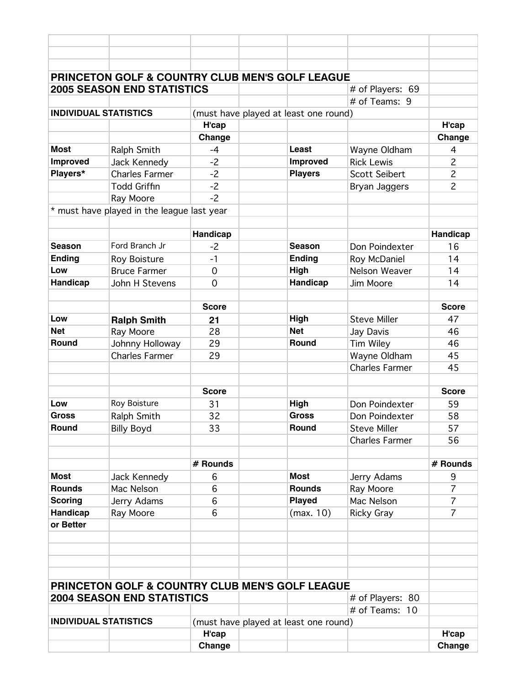|                              | PRINCETON GOLF & COUNTRY CLUB MEN'S GOLF LEAGUE                                                 |                |                                       |                                    |                                  |
|------------------------------|-------------------------------------------------------------------------------------------------|----------------|---------------------------------------|------------------------------------|----------------------------------|
|                              | <b>2005 SEASON END STATISTICS</b>                                                               |                |                                       | # of Players: 69                   |                                  |
|                              |                                                                                                 |                |                                       | # of Teams: 9                      |                                  |
| <b>INDIVIDUAL STATISTICS</b> |                                                                                                 |                | (must have played at least one round) |                                    |                                  |
|                              |                                                                                                 | H'cap          |                                       |                                    | H'cap                            |
|                              |                                                                                                 | Change         |                                       |                                    | Change                           |
| <b>Most</b>                  | Ralph Smith                                                                                     | $-4$           | <b>Least</b>                          | Wayne Oldham                       | 4                                |
| Improved                     | Jack Kennedy                                                                                    | $-2$           | Improved                              | <b>Rick Lewis</b>                  | $\overline{c}$                   |
| Players*                     | <b>Charles Farmer</b>                                                                           | $-2$           | <b>Players</b>                        | <b>Scott Seibert</b>               | $\overline{c}$                   |
|                              | <b>Todd Griffin</b>                                                                             | $-2$           |                                       | Bryan Jaggers                      | $\overline{c}$                   |
|                              | Ray Moore                                                                                       | $-2$           |                                       |                                    |                                  |
|                              | * must have played in the league last year                                                      |                |                                       |                                    |                                  |
|                              |                                                                                                 |                |                                       |                                    |                                  |
|                              |                                                                                                 | Handicap       |                                       |                                    | Handicap                         |
| <b>Season</b>                | Ford Branch Jr                                                                                  | -2             | <b>Season</b>                         | Don Poindexter                     | 16                               |
| <b>Ending</b>                | Roy Boisture                                                                                    | $-1$           | <b>Ending</b>                         | Roy McDaniel                       | 14                               |
| Low                          | <b>Bruce Farmer</b>                                                                             | $\overline{0}$ | High                                  | Nelson Weaver                      | 14                               |
| Handicap                     | John H Stevens                                                                                  | $\mathbf 0$    | Handicap                              | Jim Moore                          | 14                               |
|                              |                                                                                                 |                |                                       |                                    |                                  |
|                              |                                                                                                 | <b>Score</b>   |                                       |                                    | <b>Score</b>                     |
| Low                          | <b>Ralph Smith</b>                                                                              | 21             | High                                  | <b>Steve Miller</b>                | 47                               |
| <b>Net</b>                   | Ray Moore                                                                                       | 28             | <b>Net</b>                            | Jay Davis                          | 46                               |
| <b>Round</b>                 | Johnny Holloway                                                                                 | 29             | Round                                 | <b>Tim Wiley</b>                   | 46                               |
|                              | <b>Charles Farmer</b>                                                                           | 29             |                                       | Wayne Oldham                       | 45                               |
|                              |                                                                                                 |                |                                       | <b>Charles Farmer</b>              | 45                               |
|                              |                                                                                                 |                |                                       |                                    |                                  |
|                              |                                                                                                 | <b>Score</b>   |                                       |                                    | <b>Score</b>                     |
| Low                          | Roy Boisture                                                                                    | 31             | High                                  | Don Poindexter                     | 59                               |
| <b>Gross</b>                 | Ralph Smith                                                                                     | 32             | <b>Gross</b>                          | Don Poindexter                     | 58                               |
| Round                        | <b>Billy Boyd</b>                                                                               | 33             | Round                                 | <b>Steve Miller</b>                | 57                               |
|                              |                                                                                                 |                |                                       | <b>Charles Farmer</b>              | 56                               |
|                              |                                                                                                 |                |                                       |                                    |                                  |
|                              |                                                                                                 | # Rounds       |                                       |                                    | # Rounds                         |
| <b>Most</b><br><b>Rounds</b> | Jack Kennedy                                                                                    | 6              | <b>Most</b><br><b>Rounds</b>          | Jerry Adams                        | 9                                |
|                              | Mac Nelson                                                                                      | 6              |                                       | Ray Moore                          | $\overline{7}$<br>$\overline{7}$ |
| <b>Scoring</b><br>Handicap   | Jerry Adams                                                                                     | 6<br>6         | <b>Played</b>                         | Mac Nelson                         | $\overline{7}$                   |
| or Better                    | Ray Moore                                                                                       |                | (max. 10)                             | <b>Ricky Gray</b>                  |                                  |
|                              |                                                                                                 |                |                                       |                                    |                                  |
|                              |                                                                                                 |                |                                       |                                    |                                  |
|                              |                                                                                                 |                |                                       |                                    |                                  |
|                              |                                                                                                 |                |                                       |                                    |                                  |
|                              |                                                                                                 |                |                                       |                                    |                                  |
|                              | <b>PRINCETON GOLF &amp; COUNTRY CLUB MEN'S GOLF LEAGUE</b><br><b>2004 SEASON END STATISTICS</b> |                |                                       |                                    |                                  |
|                              |                                                                                                 |                |                                       | # of Players: 80<br># of Teams: 10 |                                  |
| <b>INDIVIDUAL STATISTICS</b> |                                                                                                 |                | (must have played at least one round) |                                    |                                  |
|                              |                                                                                                 | H'cap          |                                       |                                    | H'cap                            |
|                              |                                                                                                 | Change         |                                       |                                    | Change                           |
|                              |                                                                                                 |                |                                       |                                    |                                  |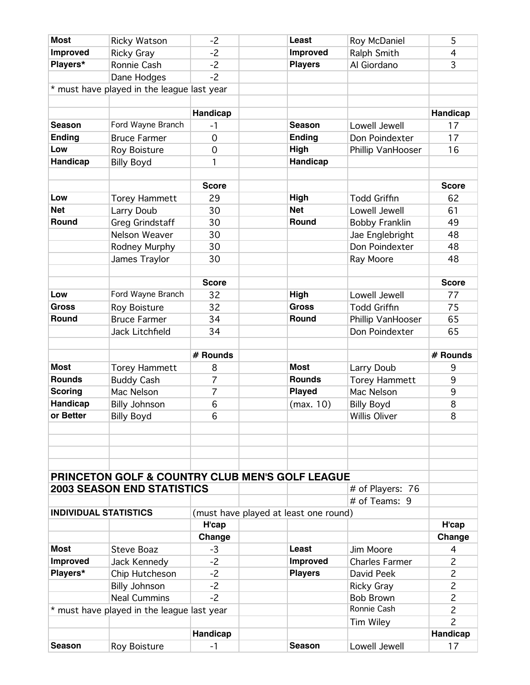| <b>Most</b>                 |                                            | $-2$           | Least                                                      | Roy McDaniel                    | 5              |
|-----------------------------|--------------------------------------------|----------------|------------------------------------------------------------|---------------------------------|----------------|
|                             | <b>Ricky Watson</b>                        | $-2$           |                                                            |                                 |                |
| <b>Improved</b><br>Players* | <b>Ricky Gray</b>                          |                | <b>Improved</b><br><b>Players</b>                          | Ralph Smith<br>Al Giordano      | 4<br>3         |
|                             | Ronnie Cash                                | $-2$<br>$-2$   |                                                            |                                 |                |
|                             | Dane Hodges                                |                |                                                            |                                 |                |
|                             | * must have played in the league last year |                |                                                            |                                 |                |
|                             |                                            |                |                                                            |                                 |                |
|                             |                                            | Handicap       |                                                            |                                 | Handicap       |
| <b>Season</b>               | Ford Wayne Branch                          | $-1$           | <b>Season</b>                                              | Lowell Jewell                   | 17             |
| <b>Ending</b>               | <b>Bruce Farmer</b>                        | $\mathbf 0$    | <b>Ending</b>                                              | Don Poindexter                  | 17             |
| Low                         | Roy Boisture                               | $\mathbf 0$    | High                                                       | Phillip VanHooser               | 16             |
| Handicap                    | <b>Billy Boyd</b>                          | 1              | Handicap                                                   |                                 |                |
|                             |                                            |                |                                                            |                                 |                |
|                             |                                            | <b>Score</b>   |                                                            |                                 | <b>Score</b>   |
| Low                         | <b>Torey Hammett</b>                       | 29             | High                                                       | <b>Todd Griffin</b>             | 62             |
| <b>Net</b>                  | Larry Doub                                 | 30             | <b>Net</b>                                                 | Lowell Jewell                   | 61             |
| Round                       | <b>Greg Grindstaff</b>                     | 30             | <b>Round</b>                                               | <b>Bobby Franklin</b>           | 49             |
|                             | Nelson Weaver                              | 30             |                                                            | Jae Englebright                 | 48             |
|                             | Rodney Murphy                              | 30             |                                                            | Don Poindexter                  | 48             |
|                             | James Traylor                              | 30             |                                                            | Ray Moore                       | 48             |
|                             |                                            |                |                                                            |                                 |                |
|                             |                                            | <b>Score</b>   |                                                            |                                 | <b>Score</b>   |
| Low                         | Ford Wayne Branch                          | 32             | High                                                       | Lowell Jewell                   | 77             |
| <b>Gross</b>                | Roy Boisture                               | 32             | <b>Gross</b>                                               | <b>Todd Griffin</b>             | 75             |
| Round                       | <b>Bruce Farmer</b>                        | 34             | Round                                                      | Phillip VanHooser               | 65             |
|                             | Jack Litchfield                            | 34             |                                                            | Don Poindexter                  | 65             |
|                             |                                            |                |                                                            |                                 |                |
|                             |                                            | # Rounds       |                                                            |                                 | # Rounds       |
| <b>Most</b>                 | <b>Torey Hammett</b>                       | 8              | <b>Most</b>                                                | Larry Doub                      | 9              |
| <b>Rounds</b>               | <b>Buddy Cash</b>                          | 7              | <b>Rounds</b>                                              | <b>Torey Hammett</b>            | 9              |
| <b>Scoring</b>              | Mac Nelson                                 | 7              | <b>Played</b>                                              | Mac Nelson                      | 9              |
| <b>Handicap</b>             | <b>Billy Johnson</b>                       | 6              | (max. 10)                                                  | <b>Billy Boyd</b>               | 8              |
| or Better                   | <b>Billy Boyd</b>                          | 6              |                                                            | <b>Willis Oliver</b>            | 8              |
|                             |                                            |                |                                                            |                                 |                |
|                             |                                            |                |                                                            |                                 |                |
|                             |                                            |                |                                                            |                                 |                |
|                             |                                            |                |                                                            |                                 |                |
|                             |                                            |                | <b>PRINCETON GOLF &amp; COUNTRY CLUB MEN'S GOLF LEAGUE</b> |                                 |                |
|                             | <b>2003 SEASON END STATISTICS</b>          |                |                                                            | # of Players: 76                |                |
|                             |                                            |                |                                                            | # of Teams: 9                   |                |
|                             | <b>INDIVIDUAL STATISTICS</b>               |                | (must have played at least one round)                      |                                 |                |
|                             |                                            | H'cap          |                                                            |                                 | H'cap          |
|                             |                                            | Change         |                                                            |                                 | Change         |
| <b>Most</b>                 | <b>Steve Boaz</b>                          | $-3$           | Least                                                      | Jim Moore                       | 4              |
| <b>Improved</b>             | Jack Kennedy                               | $-2$           | Improved                                                   | <b>Charles Farmer</b>           | $\overline{2}$ |
| Players*                    | Chip Hutcheson                             | $-2$           | <b>Players</b>                                             | David Peek                      | $\overline{c}$ |
|                             |                                            |                |                                                            |                                 |                |
|                             |                                            |                |                                                            |                                 |                |
|                             | <b>Billy Johnson</b>                       | $-2$           |                                                            | <b>Ricky Gray</b>               | $\overline{c}$ |
|                             | <b>Neal Cummins</b>                        | $-2$           |                                                            | <b>Bob Brown</b><br>Ronnie Cash | $\overline{c}$ |
| $\star$                     | must have played in the league last year   |                |                                                            |                                 | $\overline{c}$ |
|                             |                                            |                |                                                            | Tim Wiley                       | $\overline{2}$ |
| <b>Season</b>               | Roy Boisture                               | Handicap<br>-1 | <b>Season</b>                                              | Lowell Jewell                   | Handicap<br>17 |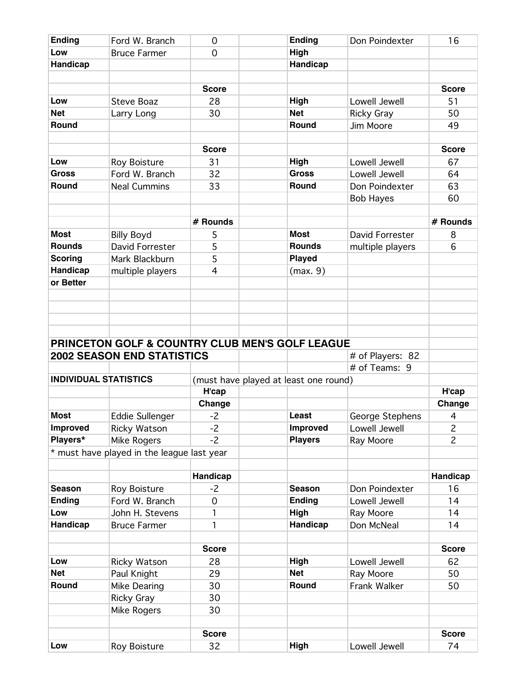| <b>Ending</b>                | Ford W. Branch                             | $\overline{0}$ | <b>Ending</b>                                   | Don Poindexter    | 16             |
|------------------------------|--------------------------------------------|----------------|-------------------------------------------------|-------------------|----------------|
| Low                          | <b>Bruce Farmer</b>                        | $\Omega$       | High                                            |                   |                |
| Handicap                     |                                            |                | Handicap                                        |                   |                |
|                              |                                            |                |                                                 |                   |                |
|                              |                                            | <b>Score</b>   |                                                 |                   | <b>Score</b>   |
| Low                          | <b>Steve Boaz</b>                          | 28             | High                                            | Lowell Jewell     | 51             |
| <b>Net</b>                   | Larry Long                                 | 30             | <b>Net</b>                                      | <b>Ricky Gray</b> | 50             |
| Round                        |                                            |                | Round                                           | Jim Moore         | 49             |
|                              |                                            |                |                                                 |                   |                |
|                              |                                            | <b>Score</b>   |                                                 |                   | <b>Score</b>   |
| Low                          | <b>Roy Boisture</b>                        | 31             | High                                            | Lowell Jewell     | 67             |
| <b>Gross</b>                 | Ford W. Branch                             | 32             | <b>Gross</b>                                    | Lowell Jewell     | 64             |
| Round                        | <b>Neal Cummins</b>                        | 33             | <b>Round</b>                                    | Don Poindexter    | 63             |
|                              |                                            |                |                                                 | <b>Bob Hayes</b>  | 60             |
|                              |                                            |                |                                                 |                   |                |
|                              |                                            | # Rounds       |                                                 |                   | # Rounds       |
| <b>Most</b>                  | <b>Billy Boyd</b>                          | 5              | <b>Most</b>                                     | David Forrester   | 8              |
| <b>Rounds</b>                | David Forrester                            | 5              | <b>Rounds</b>                                   | multiple players  | 6              |
| <b>Scoring</b>               | Mark Blackburn                             | 5              | <b>Played</b>                                   |                   |                |
| <b>Handicap</b>              | multiple players                           | 4              | (max. 9)                                        |                   |                |
| or Better                    |                                            |                |                                                 |                   |                |
|                              |                                            |                |                                                 |                   |                |
|                              |                                            |                |                                                 |                   |                |
|                              |                                            |                |                                                 |                   |                |
|                              |                                            |                |                                                 |                   |                |
|                              |                                            |                | PRINCETON GOLF & COUNTRY CLUB MEN'S GOLF LEAGUE |                   |                |
|                              | <b>2002 SEASON END STATISTICS</b>          |                |                                                 | # of Players: 82  |                |
|                              |                                            |                |                                                 | # of Teams: 9     |                |
| <b>INDIVIDUAL STATISTICS</b> |                                            |                | (must have played at least one round)           |                   |                |
|                              |                                            | H'cap          |                                                 |                   | H'cap          |
|                              |                                            | Change         |                                                 |                   | Change         |
| <b>Most</b>                  | Eddie Sullenger                            | $-2$           | Least                                           | George Stephens   | $\overline{4}$ |
| Improved                     | <b>Ricky Watson</b>                        | $-2$           | <b>Improved</b>                                 | Lowell Jewell     | $\overline{c}$ |
| Players*                     | Mike Rogers                                | $-2$           | <b>Players</b>                                  | Ray Moore         | $\overline{c}$ |
|                              | * must have played in the league last year |                |                                                 |                   |                |
|                              |                                            |                |                                                 |                   |                |
|                              |                                            | Handicap       |                                                 |                   | Handicap       |
| <b>Season</b>                | Roy Boisture                               | -2             | <b>Season</b>                                   | Don Poindexter    | 16             |
| <b>Ending</b>                | Ford W. Branch                             | 0              | <b>Ending</b>                                   | Lowell Jewell     | 14             |
| Low                          | John H. Stevens                            | 1              | High                                            | Ray Moore         | 14             |
| Handicap                     | <b>Bruce Farmer</b>                        | 1              | Handicap                                        | Don McNeal        | 14             |
|                              |                                            |                |                                                 |                   |                |
|                              |                                            | <b>Score</b>   |                                                 |                   | <b>Score</b>   |
|                              |                                            |                |                                                 |                   |                |
| Low<br><b>Net</b>            | Ricky Watson                               | 28             | High<br><b>Net</b>                              | Lowell Jewell     | 62             |
|                              | Paul Knight                                | 29             |                                                 | Ray Moore         | 50             |
| Round                        | Mike Dearing                               | 30             | Round                                           | Frank Walker      | 50             |
|                              | <b>Ricky Gray</b>                          | 30             |                                                 |                   |                |
|                              | Mike Rogers                                | 30             |                                                 |                   |                |
|                              |                                            |                |                                                 |                   |                |
|                              |                                            | <b>Score</b>   |                                                 |                   | <b>Score</b>   |
| Low                          | Roy Boisture                               | 32             | High                                            | Lowell Jewell     | 74             |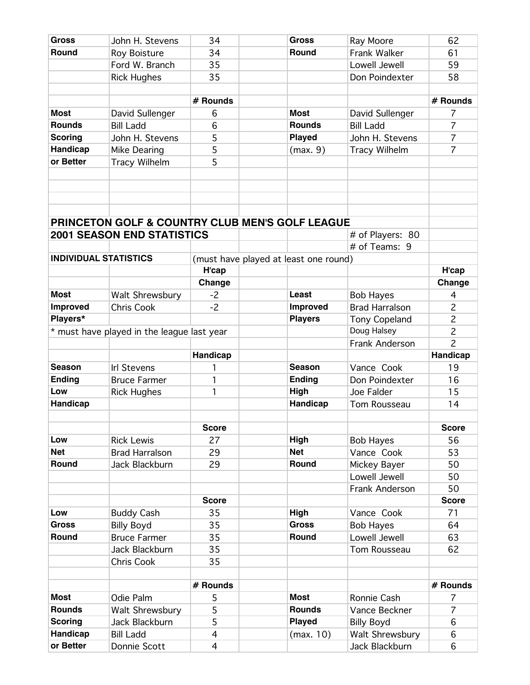| <b>Gross</b>                 | John H. Stevens                            | 34           | <b>Gross</b>                                               | Ray Moore                         | 62             |
|------------------------------|--------------------------------------------|--------------|------------------------------------------------------------|-----------------------------------|----------------|
| Round                        | <b>Roy Boisture</b>                        | 34           | Round                                                      | Frank Walker                      | 61             |
|                              | Ford W. Branch                             | 35           |                                                            | Lowell Jewell                     | 59             |
|                              | <b>Rick Hughes</b>                         | 35           |                                                            | Don Poindexter                    | 58             |
|                              |                                            |              |                                                            |                                   |                |
|                              |                                            | # Rounds     |                                                            |                                   | # Rounds       |
| <b>Most</b>                  | David Sullenger                            | 6            | <b>Most</b>                                                | David Sullenger                   | 7              |
| <b>Rounds</b>                | <b>Bill Ladd</b>                           | 6            | <b>Rounds</b>                                              | <b>Bill Ladd</b>                  | $\overline{7}$ |
| <b>Scoring</b>               | John H. Stevens                            | 5            | <b>Played</b>                                              | John H. Stevens                   | $\overline{7}$ |
| Handicap                     | Mike Dearing                               | 5            | (max. 9)                                                   | <b>Tracy Wilhelm</b>              | $\overline{7}$ |
| or Better                    | <b>Tracy Wilhelm</b>                       | 5            |                                                            |                                   |                |
|                              |                                            |              |                                                            |                                   |                |
|                              |                                            |              |                                                            |                                   |                |
|                              |                                            |              |                                                            |                                   |                |
|                              |                                            |              |                                                            |                                   |                |
|                              |                                            |              | <b>PRINCETON GOLF &amp; COUNTRY CLUB MEN'S GOLF LEAGUE</b> |                                   |                |
|                              | <b>2001 SEASON END STATISTICS</b>          |              |                                                            |                                   |                |
|                              |                                            |              |                                                            | # of Players: 80<br># of Teams: 9 |                |
| <b>INDIVIDUAL STATISTICS</b> |                                            |              |                                                            |                                   |                |
|                              |                                            |              | (must have played at least one round)                      |                                   |                |
|                              |                                            | H'cap        |                                                            |                                   | H'cap          |
|                              |                                            | Change       |                                                            |                                   | Change         |
| <b>Most</b>                  | Walt Shrewsbury                            | $-2$         | Least                                                      | <b>Bob Hayes</b>                  | 4              |
| Improved                     | Chris Cook                                 | $-2$         | <b>Improved</b>                                            | <b>Brad Harralson</b>             | $\overline{c}$ |
| Players*                     |                                            |              | <b>Players</b>                                             | Tony Copeland                     | $\overline{c}$ |
|                              | * must have played in the league last year |              |                                                            | Doug Halsey                       | $\overline{c}$ |
|                              |                                            |              |                                                            |                                   |                |
|                              |                                            |              |                                                            | Frank Anderson                    | $\overline{c}$ |
|                              |                                            | Handicap     |                                                            |                                   | Handicap       |
| <b>Season</b>                | <b>Irl Stevens</b>                         | 1            | <b>Season</b>                                              | Vance Cook                        | 19             |
| <b>Ending</b>                | <b>Bruce Farmer</b>                        | 1            | <b>Ending</b>                                              | Don Poindexter                    | 16             |
| Low                          | <b>Rick Hughes</b>                         | 1            | High                                                       | Joe Falder                        | 15             |
| Handicap                     |                                            |              | Handicap                                                   | Tom Rousseau                      | 14             |
|                              |                                            |              |                                                            |                                   |                |
|                              |                                            | <b>Score</b> |                                                            |                                   | <b>Score</b>   |
| Low                          | <b>Rick Lewis</b>                          | 27           | High                                                       | <b>Bob Hayes</b>                  | 56             |
| <b>Net</b>                   | <b>Brad Harralson</b>                      | 29           | <b>Net</b>                                                 | Vance Cook                        | 53             |
| Round                        | Jack Blackburn                             | 29           | Round                                                      | Mickey Bayer                      | 50             |
|                              |                                            |              |                                                            | Lowell Jewell                     | 50             |
|                              |                                            |              |                                                            | Frank Anderson                    | 50             |
|                              |                                            | <b>Score</b> |                                                            |                                   | <b>Score</b>   |
| Low                          | <b>Buddy Cash</b>                          | 35           | <b>High</b>                                                | Vance Cook                        | 71             |
| <b>Gross</b>                 | <b>Billy Boyd</b>                          | 35           | <b>Gross</b>                                               | <b>Bob Hayes</b>                  | 64             |
| Round                        | <b>Bruce Farmer</b>                        | 35           | Round                                                      | Lowell Jewell                     | 63             |
|                              | Jack Blackburn                             | 35           |                                                            | Tom Rousseau                      | 62             |
|                              | Chris Cook                                 | 35           |                                                            |                                   |                |
|                              |                                            |              |                                                            |                                   |                |
|                              |                                            | # Rounds     |                                                            |                                   | # Rounds       |
| <b>Most</b>                  | Odie Palm                                  | 5            | <b>Most</b>                                                | Ronnie Cash                       | 7              |
| <b>Rounds</b>                | Walt Shrewsbury                            | 5            | <b>Rounds</b>                                              | Vance Beckner                     | $\overline{7}$ |
| <b>Scoring</b>               | Jack Blackburn                             | 5            | <b>Played</b>                                              | <b>Billy Boyd</b>                 | 6              |
| Handicap                     | <b>Bill Ladd</b>                           | 4            | (max. 10)                                                  | Walt Shrewsbury                   | 6              |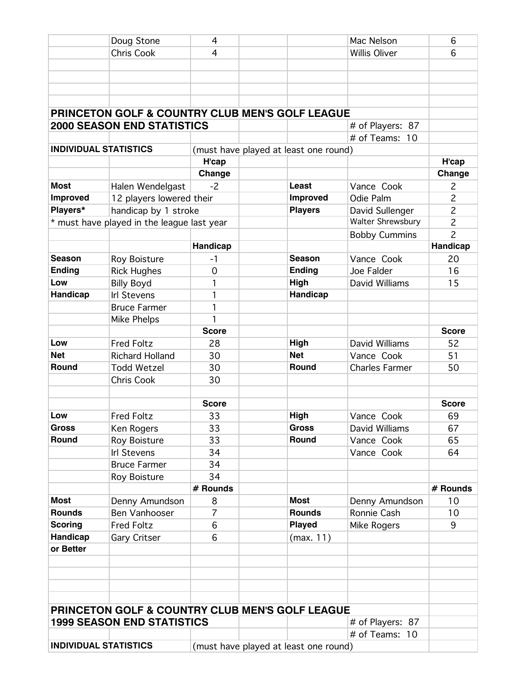|                 | Doug Stone                                                 | 4              |                                       | Mac Nelson            | 6              |
|-----------------|------------------------------------------------------------|----------------|---------------------------------------|-----------------------|----------------|
|                 | <b>Chris Cook</b>                                          | 4              |                                       | <b>Willis Oliver</b>  | 6              |
|                 |                                                            |                |                                       |                       |                |
|                 |                                                            |                |                                       |                       |                |
|                 |                                                            |                |                                       |                       |                |
|                 |                                                            |                |                                       |                       |                |
|                 | <b>PRINCETON GOLF &amp; COUNTRY CLUB MEN'S GOLF LEAGUE</b> |                |                                       |                       |                |
|                 | <b>2000 SEASON END STATISTICS</b>                          |                |                                       | # of Players: 87      |                |
|                 |                                                            |                |                                       | # of Teams: 10        |                |
|                 | <b>INDIVIDUAL STATISTICS</b>                               |                | (must have played at least one round) |                       |                |
|                 |                                                            | H'cap          |                                       |                       | H'cap          |
|                 |                                                            | Change         |                                       |                       | Change         |
| <b>Most</b>     | Halen Wendelgast                                           | -2             | Least                                 | Vance Cook            | $\overline{c}$ |
| <b>Improved</b> | 12 players lowered their                                   |                | <b>Improved</b>                       | Odie Palm             | $\overline{c}$ |
| Players*        | handicap by 1 stroke                                       |                | <b>Players</b>                        | David Sullenger       | $\overline{c}$ |
|                 | * must have played in the league last year                 |                |                                       | Walter Shrewsbury     | $\overline{c}$ |
|                 |                                                            |                |                                       | <b>Bobby Cummins</b>  | $\overline{c}$ |
|                 |                                                            | Handicap       |                                       |                       | Handicap       |
| <b>Season</b>   | Roy Boisture                                               | -1             | <b>Season</b>                         | Vance Cook            | 20             |
| <b>Ending</b>   | <b>Rick Hughes</b>                                         | $\overline{0}$ | <b>Ending</b>                         | Joe Falder            | 16             |
| Low             | <b>Billy Boyd</b>                                          | 1              | High                                  | David Williams        | 15             |
| Handicap        | <b>Irl Stevens</b>                                         | 1              | Handicap                              |                       |                |
|                 | <b>Bruce Farmer</b>                                        | 1              |                                       |                       |                |
|                 | Mike Phelps                                                | 1              |                                       |                       |                |
|                 |                                                            | <b>Score</b>   |                                       |                       | <b>Score</b>   |
| Low             | <b>Fred Foltz</b>                                          | 28             | High                                  | David Williams        | 52             |
| <b>Net</b>      | <b>Richard Holland</b>                                     | 30             | <b>Net</b>                            | Vance Cook            | 51             |
| Round           | <b>Todd Wetzel</b>                                         | 30             | <b>Round</b>                          | <b>Charles Farmer</b> | 50             |
|                 | <b>Chris Cook</b>                                          | 30             |                                       |                       |                |
|                 |                                                            |                |                                       |                       |                |
|                 |                                                            | <b>Score</b>   |                                       |                       | <b>Score</b>   |
| Low             | <b>Fred Foltz</b>                                          | 33             | High                                  | Vance Cook            | 69             |
| <b>Gross</b>    | Ken Rogers                                                 | 33             | <b>Gross</b>                          | David Williams        | 67             |
| Round           | <b>Roy Boisture</b>                                        | 33             | <b>Round</b>                          | Vance Cook            | 65             |
|                 | <b>Irl Stevens</b>                                         | 34             |                                       | Vance Cook            | 64             |
|                 | <b>Bruce Farmer</b>                                        | 34             |                                       |                       |                |
|                 | Roy Boisture                                               | 34             |                                       |                       |                |
|                 |                                                            | # Rounds       |                                       |                       | # Rounds       |
| <b>Most</b>     | Denny Amundson                                             | 8              | <b>Most</b>                           | Denny Amundson        | 10             |
| <b>Rounds</b>   | Ben Vanhooser                                              | 7              | <b>Rounds</b>                         | Ronnie Cash           | 10             |
| <b>Scoring</b>  | <b>Fred Foltz</b>                                          | 6              | <b>Played</b>                         | Mike Rogers           | 9              |
| Handicap        | <b>Gary Critser</b>                                        | 6              | (max. 11)                             |                       |                |
| or Better       |                                                            |                |                                       |                       |                |
|                 |                                                            |                |                                       |                       |                |
|                 |                                                            |                |                                       |                       |                |
|                 |                                                            |                |                                       |                       |                |
|                 |                                                            |                |                                       |                       |                |
|                 | <b>PRINCETON GOLF &amp; COUNTRY CLUB MEN'S GOLF LEAGUE</b> |                |                                       |                       |                |
|                 | <b>1999 SEASON END STATISTICS</b>                          |                |                                       | # of Players: 87      |                |
|                 |                                                            |                |                                       | # of Teams: 10        |                |
|                 | <b>INDIVIDUAL STATISTICS</b>                               |                |                                       |                       |                |
|                 |                                                            |                | (must have played at least one round) |                       |                |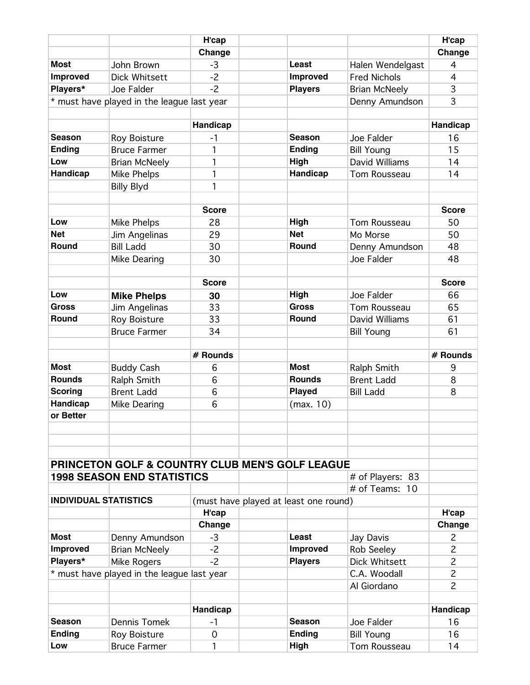|                              |                                                            | H'cap        |                                       |                                  | H'cap          |
|------------------------------|------------------------------------------------------------|--------------|---------------------------------------|----------------------------------|----------------|
|                              |                                                            | Change       |                                       |                                  | Change         |
| <b>Most</b>                  | John Brown                                                 | $-3$         | Least                                 | Halen Wendelgast                 | 4              |
| Improved                     | <b>Dick Whitsett</b>                                       | $-2$         | Improved                              | <b>Fred Nichols</b>              | $\overline{4}$ |
| Players*                     | Joe Falder                                                 | $-2$         | <b>Players</b>                        | <b>Brian McNeely</b>             | 3              |
|                              | * must have played in the league last year                 |              |                                       | Denny Amundson                   | 3              |
|                              |                                                            |              |                                       |                                  |                |
|                              |                                                            | Handicap     |                                       |                                  | Handicap       |
| <b>Season</b>                | Roy Boisture                                               | -1           | <b>Season</b>                         | Joe Falder                       | 16             |
| <b>Ending</b>                | <b>Bruce Farmer</b>                                        | 1            | <b>Ending</b>                         | <b>Bill Young</b>                | 15             |
| Low                          | <b>Brian McNeely</b>                                       | 1            | High                                  | David Williams                   | 14             |
| <b>Handicap</b>              | Mike Phelps                                                | 1            | Handicap                              | Tom Rousseau                     | 14             |
|                              | <b>Billy Blyd</b>                                          | 1            |                                       |                                  |                |
|                              |                                                            |              |                                       |                                  |                |
|                              |                                                            | <b>Score</b> |                                       |                                  | <b>Score</b>   |
| Low                          | Mike Phelps                                                | 28           | High                                  | Tom Rousseau                     | 50             |
| <b>Net</b>                   | Jim Angelinas                                              | 29           | <b>Net</b>                            | Mo Morse                         | 50             |
| Round                        | <b>Bill Ladd</b>                                           | 30           | Round                                 | Denny Amundson                   | 48             |
|                              | Mike Dearing                                               | 30           |                                       | Joe Falder                       | 48             |
|                              |                                                            |              |                                       |                                  |                |
|                              |                                                            | <b>Score</b> |                                       |                                  | <b>Score</b>   |
| Low                          | <b>Mike Phelps</b>                                         | 30           | High                                  | Joe Falder                       | 66             |
| <b>Gross</b>                 | Jim Angelinas                                              | 33           | <b>Gross</b>                          | Tom Rousseau                     | 65             |
| <b>Round</b>                 | Roy Boisture                                               | 33           | Round                                 | David Williams                   | 61             |
|                              | <b>Bruce Farmer</b>                                        | 34           |                                       | <b>Bill Young</b>                | 61             |
|                              |                                                            |              |                                       |                                  |                |
| <b>Most</b>                  |                                                            | # Rounds     | <b>Most</b>                           |                                  | # Rounds       |
| <b>Rounds</b>                | <b>Buddy Cash</b>                                          | 6            | <b>Rounds</b>                         | Ralph Smith<br><b>Brent Ladd</b> | 9              |
| <b>Scoring</b>               | Ralph Smith<br><b>Brent Ladd</b>                           | 6<br>6       | <b>Played</b>                         |                                  | 8<br>8         |
| <b>Handicap</b>              | Mike Dearing                                               | 6            | (max. 10)                             | <b>Bill Ladd</b>                 |                |
| or Better                    |                                                            |              |                                       |                                  |                |
|                              |                                                            |              |                                       |                                  |                |
|                              |                                                            |              |                                       |                                  |                |
|                              |                                                            |              |                                       |                                  |                |
|                              | <b>PRINCETON GOLF &amp; COUNTRY CLUB MEN'S GOLF LEAGUE</b> |              |                                       |                                  |                |
|                              |                                                            |              |                                       |                                  |                |
|                              |                                                            |              |                                       |                                  |                |
|                              | <b>1998 SEASON END STATISTICS</b>                          |              |                                       | # of Players: 83                 |                |
| <b>INDIVIDUAL STATISTICS</b> |                                                            |              |                                       | # of Teams: 10                   |                |
|                              |                                                            | H'cap        | (must have played at least one round) |                                  | H'cap          |
|                              |                                                            | Change       |                                       |                                  | Change         |
| <b>Most</b>                  | Denny Amundson                                             | $-3$         | Least                                 | Jay Davis                        | 2              |
| <b>Improved</b>              | <b>Brian McNeely</b>                                       | $-2$         | Improved                              | Rob Seeley                       | $\overline{c}$ |
| Players*                     | Mike Rogers                                                | $-2$         | <b>Players</b>                        | <b>Dick Whitsett</b>             | $\overline{c}$ |
|                              | * must have played in the league last year                 |              |                                       | C.A. Woodall                     | $\overline{c}$ |
|                              |                                                            |              |                                       | Al Giordano                      | $\overline{c}$ |
|                              |                                                            |              |                                       |                                  |                |
|                              |                                                            | Handicap     |                                       |                                  | Handicap       |
| <b>Season</b>                | Dennis Tomek                                               | $-1$         | <b>Season</b>                         | Joe Falder                       | 16             |
| <b>Ending</b>                | <b>Roy Boisture</b>                                        | 0            | <b>Ending</b>                         | <b>Bill Young</b>                | 16             |